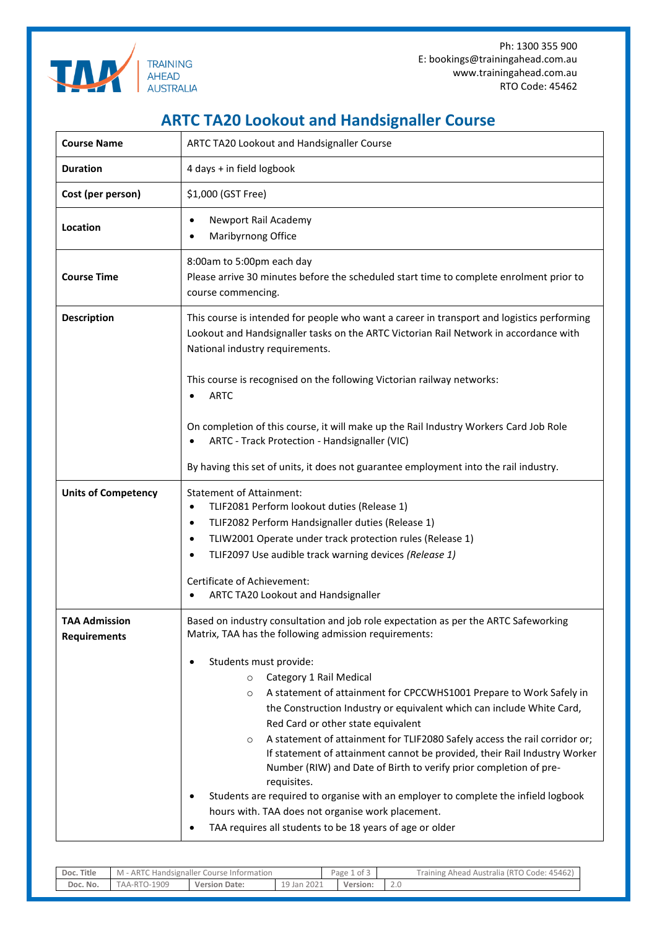

Ph: 1300 355 900 E: bookings@trainingahead.com.au www.trainingahead.com.au RTO Code: 45462

## **ARTC TA20 Lookout and Handsignaller Course**

| <b>Course Name</b>                          | ARTC TA20 Lookout and Handsignaller Course                                                                                                                                                                                                                                                                                                                                                                                                                                                                                                                                                                                                                                                                                                                                                                                                                                   |  |  |  |  |  |  |
|---------------------------------------------|------------------------------------------------------------------------------------------------------------------------------------------------------------------------------------------------------------------------------------------------------------------------------------------------------------------------------------------------------------------------------------------------------------------------------------------------------------------------------------------------------------------------------------------------------------------------------------------------------------------------------------------------------------------------------------------------------------------------------------------------------------------------------------------------------------------------------------------------------------------------------|--|--|--|--|--|--|
| <b>Duration</b>                             | 4 days + in field logbook                                                                                                                                                                                                                                                                                                                                                                                                                                                                                                                                                                                                                                                                                                                                                                                                                                                    |  |  |  |  |  |  |
| Cost (per person)                           | \$1,000 (GST Free)                                                                                                                                                                                                                                                                                                                                                                                                                                                                                                                                                                                                                                                                                                                                                                                                                                                           |  |  |  |  |  |  |
| Location                                    | Newport Rail Academy<br>$\bullet$<br>Maribyrnong Office                                                                                                                                                                                                                                                                                                                                                                                                                                                                                                                                                                                                                                                                                                                                                                                                                      |  |  |  |  |  |  |
| <b>Course Time</b>                          | 8:00am to 5:00pm each day<br>Please arrive 30 minutes before the scheduled start time to complete enrolment prior to<br>course commencing.                                                                                                                                                                                                                                                                                                                                                                                                                                                                                                                                                                                                                                                                                                                                   |  |  |  |  |  |  |
| <b>Description</b>                          | This course is intended for people who want a career in transport and logistics performing<br>Lookout and Handsignaller tasks on the ARTC Victorian Rail Network in accordance with<br>National industry requirements.                                                                                                                                                                                                                                                                                                                                                                                                                                                                                                                                                                                                                                                       |  |  |  |  |  |  |
|                                             | This course is recognised on the following Victorian railway networks:<br><b>ARTC</b><br>On completion of this course, it will make up the Rail Industry Workers Card Job Role<br>ARTC - Track Protection - Handsignaller (VIC)                                                                                                                                                                                                                                                                                                                                                                                                                                                                                                                                                                                                                                              |  |  |  |  |  |  |
|                                             | By having this set of units, it does not guarantee employment into the rail industry.                                                                                                                                                                                                                                                                                                                                                                                                                                                                                                                                                                                                                                                                                                                                                                                        |  |  |  |  |  |  |
| <b>Units of Competency</b>                  | <b>Statement of Attainment:</b><br>TLIF2081 Perform lookout duties (Release 1)<br>$\bullet$<br>TLIF2082 Perform Handsignaller duties (Release 1)<br>$\bullet$<br>TLIW2001 Operate under track protection rules (Release 1)<br>$\bullet$<br>TLIF2097 Use audible track warning devices (Release 1)<br>$\bullet$<br>Certificate of Achievement:<br>ARTC TA20 Lookout and Handsignaller                                                                                                                                                                                                                                                                                                                                                                                                                                                                                         |  |  |  |  |  |  |
| <b>TAA Admission</b><br><b>Requirements</b> | Based on industry consultation and job role expectation as per the ARTC Safeworking<br>Matrix, TAA has the following admission requirements:<br>Students must provide:<br>٠<br>Category 1 Rail Medical<br>$\circ$<br>A statement of attainment for CPCCWHS1001 Prepare to Work Safely in<br>O<br>the Construction Industry or equivalent which can include White Card,<br>Red Card or other state equivalent<br>A statement of attainment for TLIF2080 Safely access the rail corridor or;<br>O<br>If statement of attainment cannot be provided, their Rail Industry Worker<br>Number (RIW) and Date of Birth to verify prior completion of pre-<br>requisites.<br>Students are required to organise with an employer to complete the infield logbook<br>٠<br>hours with. TAA does not organise work placement.<br>TAA requires all students to be 18 years of age or older |  |  |  |  |  |  |

| Doc. Title | ARTC.<br>Handsignaller Course Information<br>$M -$ |                      |                 |  | Page<br>د of c<br> | Australia (RTO Code: 45462)<br>Training Ahead , |
|------------|----------------------------------------------------|----------------------|-----------------|--|--------------------|-------------------------------------------------|
| Doc. No.   | <b>TAA-RTO-1909</b>                                | <b>Version Date:</b> | 2021<br>19 Jan. |  | Version:           |                                                 |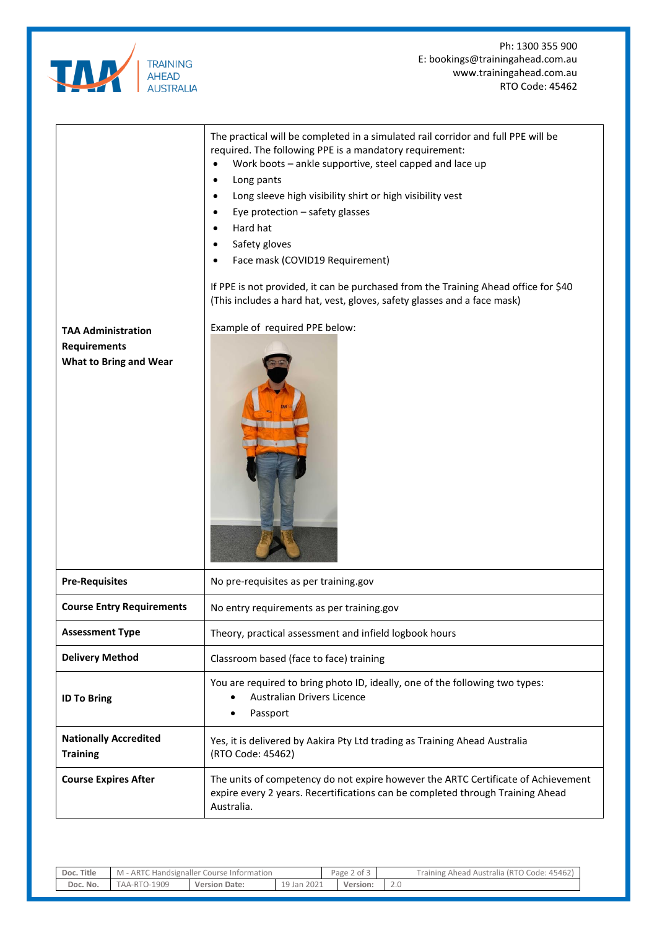

Ph: 1300 355 900 E: bookings@trainingahead.com.au www.trainingahead.com.au RTO Code: 45462

| <b>TAA Administration</b><br><b>Requirements</b><br><b>What to Bring and Wear</b> | The practical will be completed in a simulated rail corridor and full PPE will be<br>required. The following PPE is a mandatory requirement:<br>Work boots - ankle supportive, steel capped and lace up<br>$\bullet$<br>Long pants<br>Long sleeve high visibility shirt or high visibility vest<br>Eye protection - safety glasses<br>Hard hat<br>$\bullet$<br>Safety gloves<br>Face mask (COVID19 Requirement)<br>If PPE is not provided, it can be purchased from the Training Ahead office for \$40<br>(This includes a hard hat, vest, gloves, safety glasses and a face mask)<br>Example of required PPE below: |  |  |  |
|-----------------------------------------------------------------------------------|----------------------------------------------------------------------------------------------------------------------------------------------------------------------------------------------------------------------------------------------------------------------------------------------------------------------------------------------------------------------------------------------------------------------------------------------------------------------------------------------------------------------------------------------------------------------------------------------------------------------|--|--|--|
| <b>Pre-Requisites</b>                                                             | No pre-requisites as per training.gov                                                                                                                                                                                                                                                                                                                                                                                                                                                                                                                                                                                |  |  |  |
| <b>Course Entry Requirements</b>                                                  | No entry requirements as per training.gov                                                                                                                                                                                                                                                                                                                                                                                                                                                                                                                                                                            |  |  |  |
| <b>Assessment Type</b>                                                            | Theory, practical assessment and infield logbook hours                                                                                                                                                                                                                                                                                                                                                                                                                                                                                                                                                               |  |  |  |
| <b>Delivery Method</b>                                                            | Classroom based (face to face) training                                                                                                                                                                                                                                                                                                                                                                                                                                                                                                                                                                              |  |  |  |
| <b>ID To Bring</b>                                                                | You are required to bring photo ID, ideally, one of the following two types:<br>Australian Drivers Licence<br>Passport                                                                                                                                                                                                                                                                                                                                                                                                                                                                                               |  |  |  |
| <b>Nationally Accredited</b><br><b>Training</b>                                   | Yes, it is delivered by Aakira Pty Ltd trading as Training Ahead Australia<br>(RTO Code: 45462)                                                                                                                                                                                                                                                                                                                                                                                                                                                                                                                      |  |  |  |
| <b>Course Expires After</b>                                                       | The units of competency do not expire however the ARTC Certificate of Achievement<br>expire every 2 years. Recertifications can be completed through Training Ahead<br>Australia.                                                                                                                                                                                                                                                                                                                                                                                                                                    |  |  |  |

| Doc. Title | I - ARTC Handsignaller Course Information<br>M |                      |             | $\sim$<br>Page 2 of 5 | Training Ahead Australia (RTO Code: 45462) |
|------------|------------------------------------------------|----------------------|-------------|-----------------------|--------------------------------------------|
| Doc. No.   | <b>FAA-RTO-1909</b>                            | <b>Version Date:</b> | 19 Jan 2021 | Version:              | Z.U                                        |